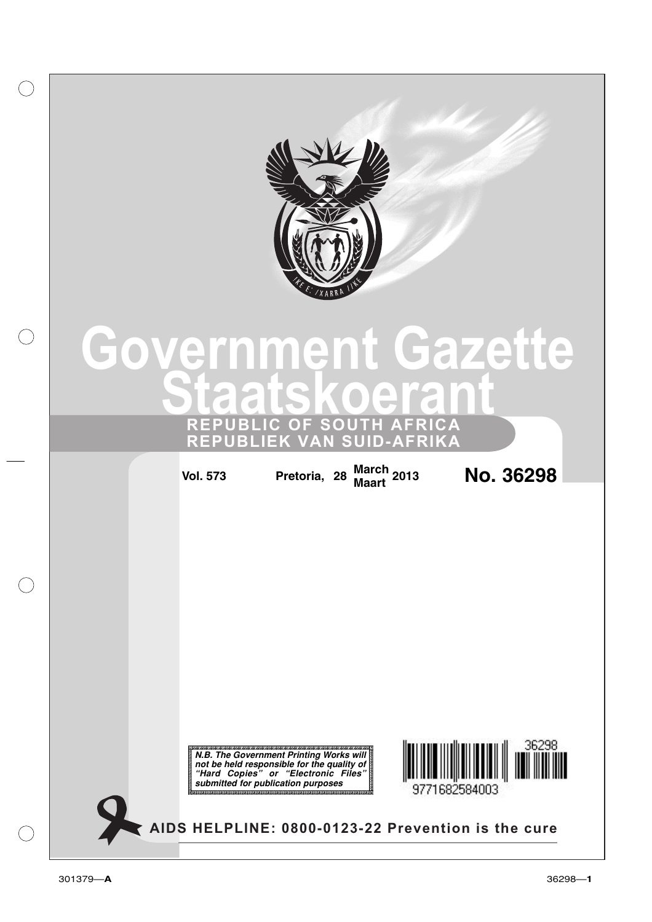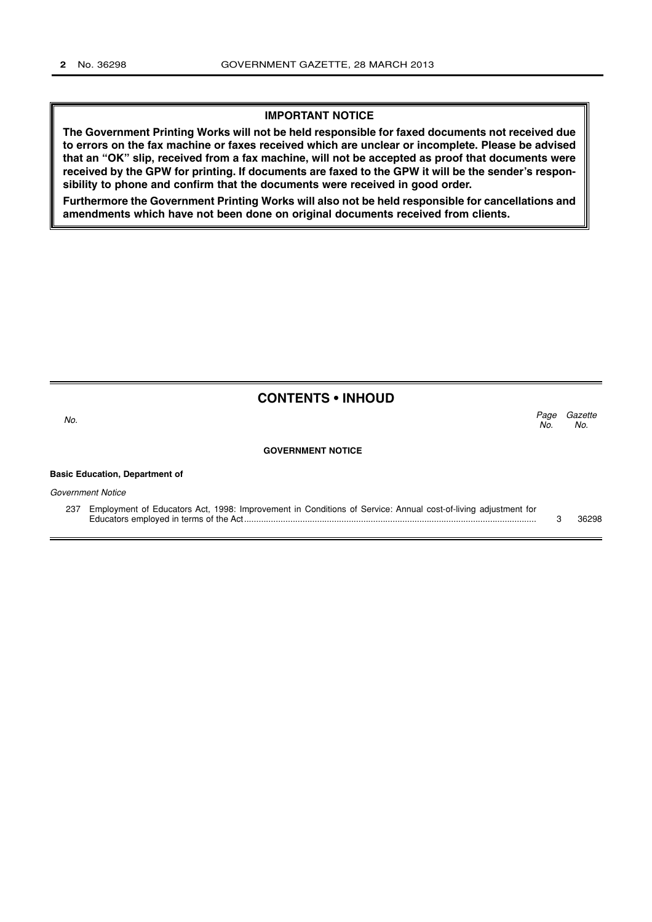## **IMPORTANT NOTICE**

**The Government Printing Works will not be held responsible for faxed documents not received due to errors on the fax machine or faxes received which are unclear or incomplete. Please be advised that an "OK" slip, received from a fax machine, will not be accepted as proof that documents were received by the GPW for printing. If documents are faxed to the GPW it will be the sender's responsibility to phone and confirm that the documents were received in good order.**

**Furthermore the Government Printing Works will also not be held responsible for cancellations and amendments which have not been done on original documents received from clients.**

# **CONTENTS • INHOUD**

Gazette No. Page No.  $\sim$  No.

### **GOVERNMENT NOTICE**

#### **Basic Education, Department of**

Government Notice

237 Employment of Educators Act, 1998: Improvement in Conditions of Service: Annual cost-of-living adjustment for Educators employed in terms of the Act........................................................................................................................ 3 36298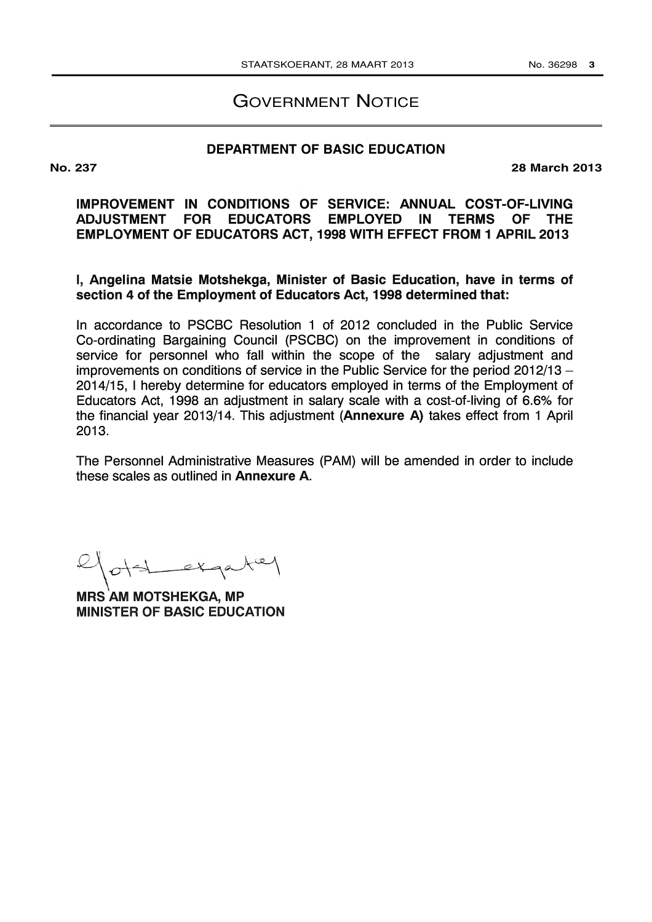# GOVERNMENT NOTICE

## **DEPARTMENT OF BASIC EDUCATION**

**No. 237 28 March 2013**

IMPROVEMENT IN CONDITIONS OF SERVICE: ANNUAL COST-OF-LIVING ADJUSTMENT FOR EDUCATORS EMPLOYED IN TERMS OF THE EMPLOYMENT OF EDUCATORS ACT, 1998 WITH EFFECT FROM 1 APRIL 2013

I, Angelina Matsie Motshekga, Minister of Basic Education, have in terms of section 4 of the Employment of Educators Act, 1998 determined that:

In accordance to PSCBC Resolution 1 of 2012 concluded in the Public Service Co-ordinating Bargaining Council (PSCBC) on the improvement in conditions of service for personnel who fall within the scope of the salary adjustment and improvements on conditions of service in the Public Service for the period  $2012/13 -$ 2014/15, I hereby determine for educators employed in terms of the Employment of Educators Act, 1998 an adjustment in salary scale with a cost-of-living of 6.6% for the financial year 2013/14. This adjustment (Annexure A) takes effect from 1 April 2013.

The Personnel Administrative Measures (PAM) will be amended in order to include these scales as outlined in Annexure A.

MRS AM MOTSHEKGA, MP MINISTER OF BASIC EDUCATION